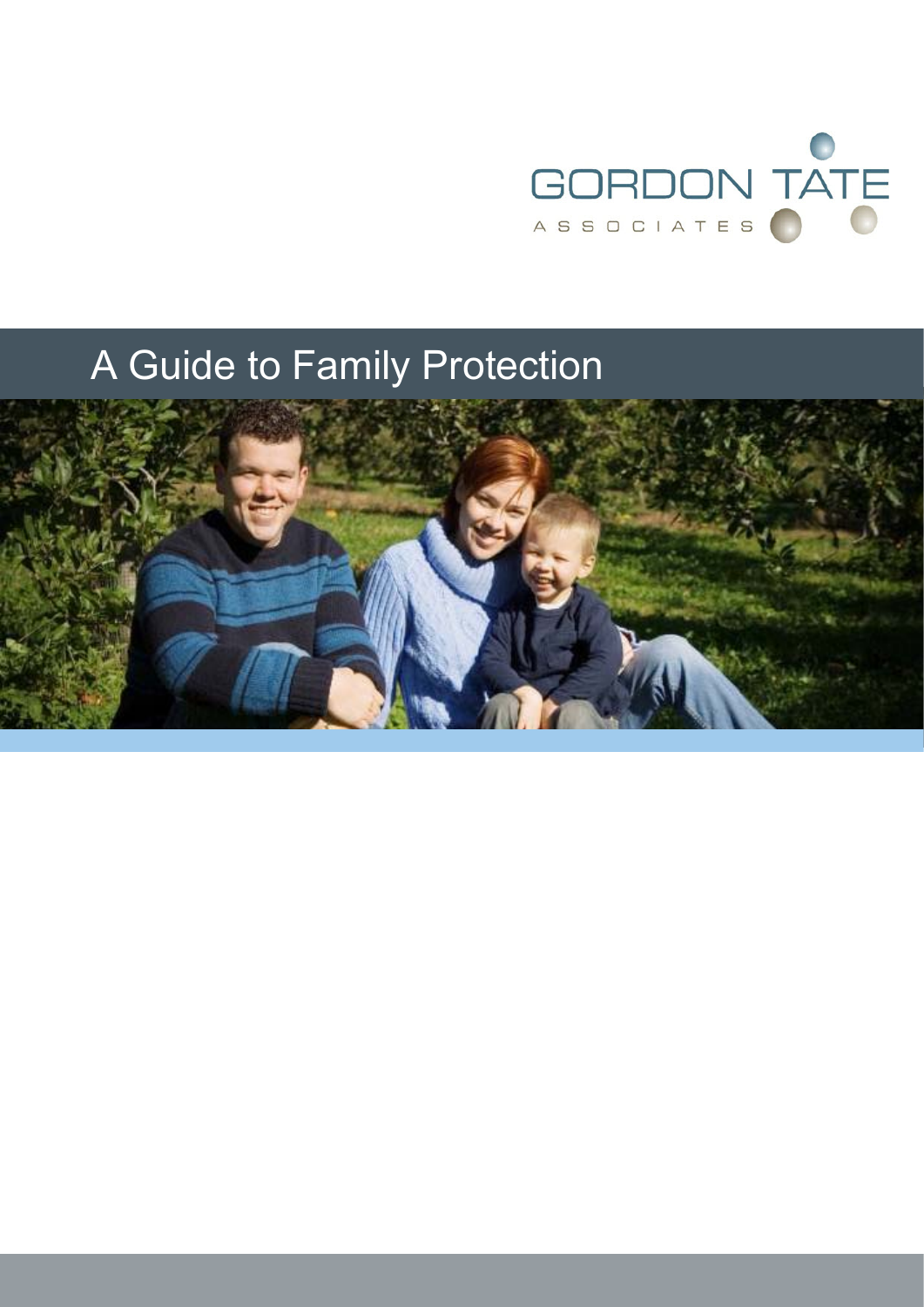

# A Guide to Family Protection

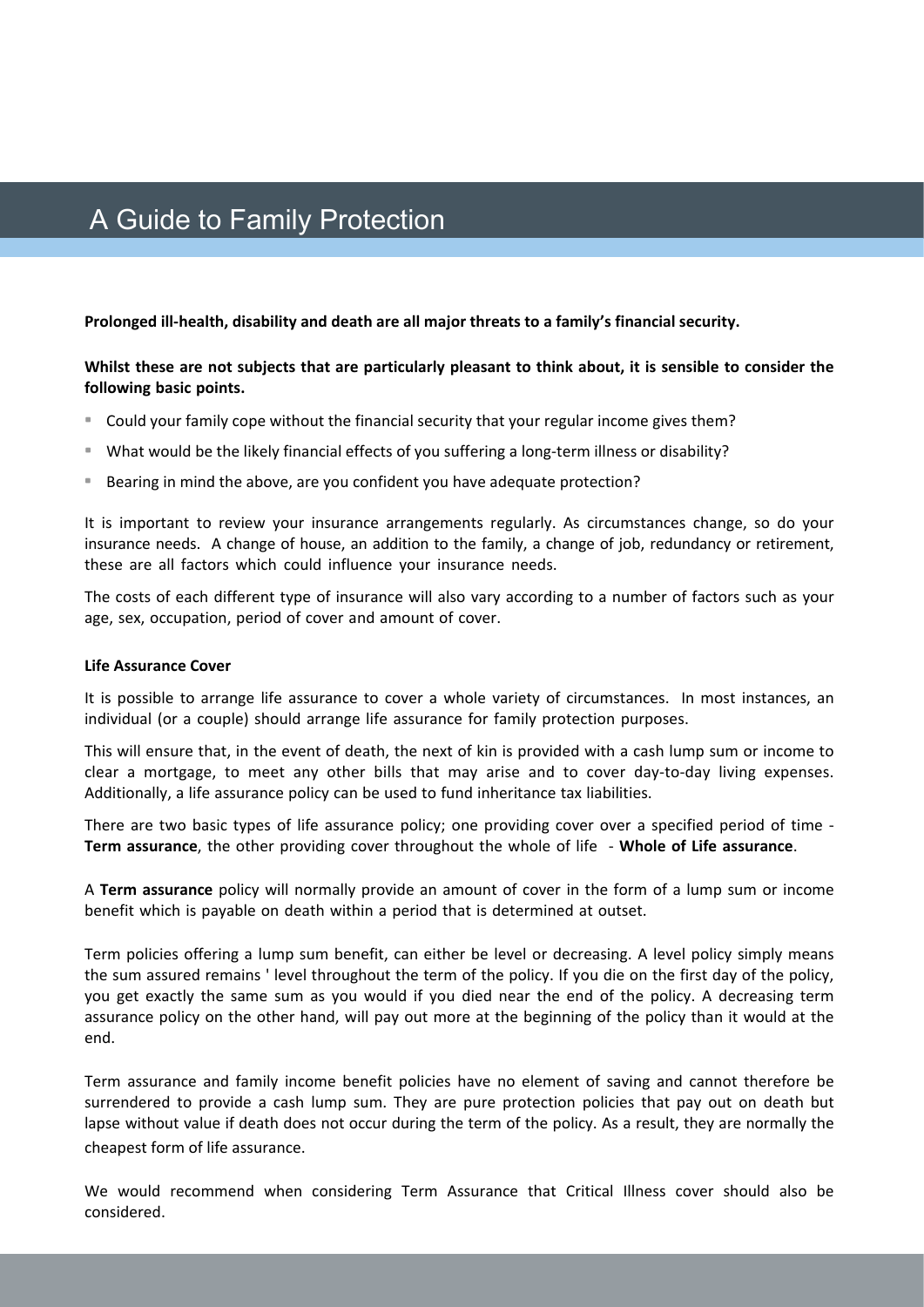## A Guide to Family Protection

**Prolonged ill‐health, disability and death are all major threats to a family's financial security.**

#### **Whilst these are not subjects that are particularly pleasant to think about, it is sensible to consider the following basic points.**

- Could your family cope without the financial security that your regular income gives them?
- What would be the likely financial effects of you suffering a long-term illness or disability?
- Bearing in mind the above, are you confident you have adequate protection?

It is important to review your insurance arrangements regularly. As circumstances change, so do your insurance needs. A change of house, an addition to the family, a change of job, redundancy or retirement, these are all factors which could influence your insurance needs.

The costs of each different type of insurance will also vary according to a number of factors such as your age, sex, occupation, period of cover and amount of cover.

#### **Life Assurance Cover**

It is possible to arrange life assurance to cover a whole variety of circumstances. In most instances, an individual (or a couple) should arrange life assurance for family protection purposes.

This will ensure that, in the event of death, the next of kin is provided with a cash lump sum or income to clear a mortgage, to meet any other bills that may arise and to cover day-to-day living expenses. Additionally, a life assurance policy can be used to fund inheritance tax liabilities.

There are two basic types of life assurance policy; one providing cover over a specified period of time -**Term assurance**, the other providing cover throughout the whole of life ‐ **Whole of Life assurance**.

A **Term assurance** policy will normally provide an amount of cover in the form of a lump sum or income benefit which is payable on death within a period that is determined at outset.

Term policies offering a lump sum benefit, can either be level or decreasing. A level policy simply means the sum assured remains ' level throughout the term of the policy. If you die on the first day of the policy, you get exactly the same sum as you would if you died near the end of the policy. A decreasing term assurance policy on the other hand, will pay out more at the beginning of the policy than it would at the end.

Term assurance and family income benefit policies have no element of saving and cannot therefore be surrendered to provide a cash lump sum. They are pure protection policies that pay out on death but lapse without value if death does not occur during the term of the policy. As a result, they are normally the cheapest form of life assurance.

We would recommend when considering Term Assurance that Critical Illness cover should also be considered.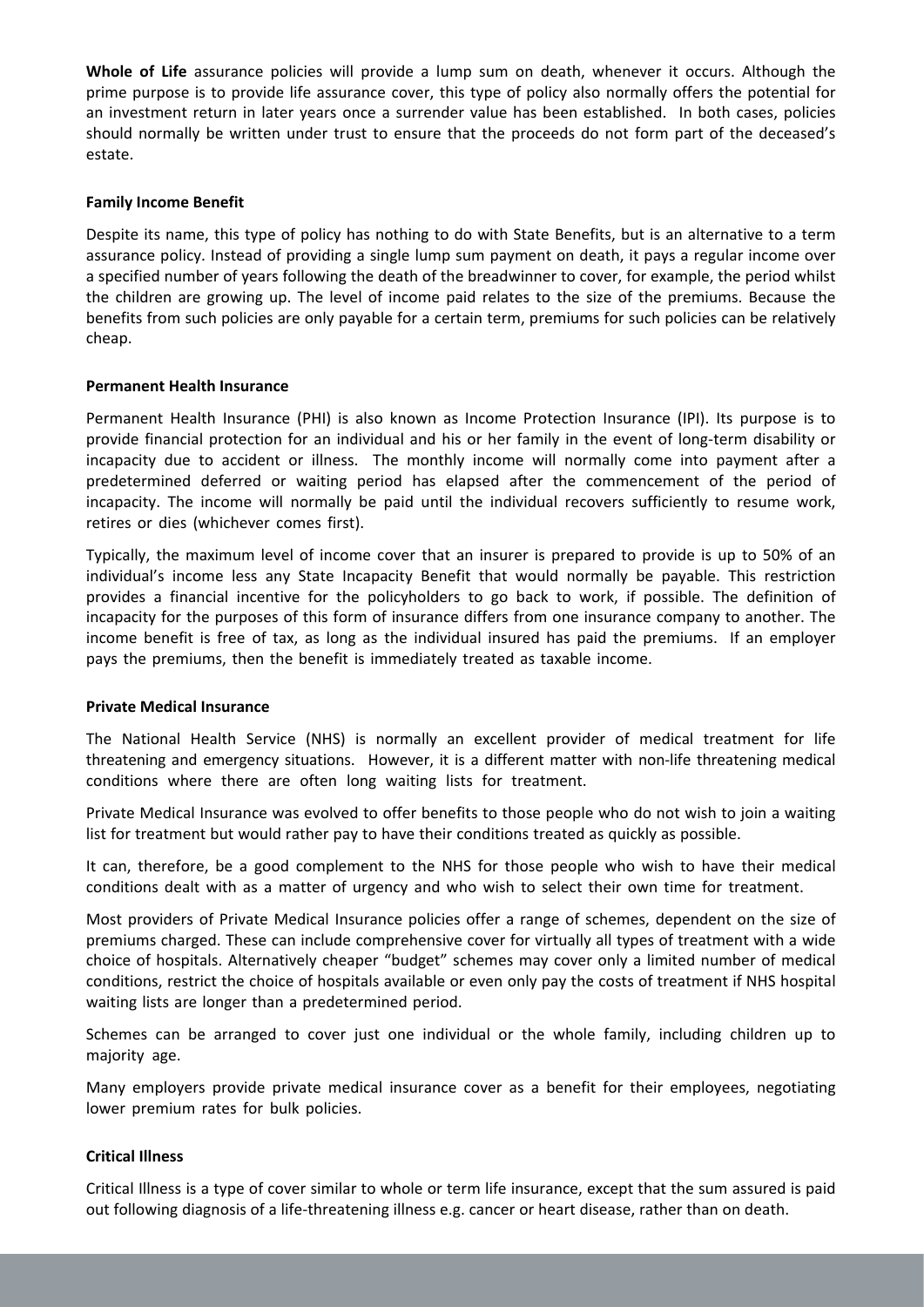**Whole of Life** assurance policies will provide a lump sum on death, whenever it occurs. Although the prime purpose is to provide life assurance cover, this type of policy also normally offers the potential for an investment return in later years once a surrender value has been established. In both cases, policies should normally be written under trust to ensure that the proceeds do not form part of the deceased's estate.

#### **Family Income Benefit**

Despite its name, this type of policy has nothing to do with State Benefits, but is an alternative to a term assurance policy. Instead of providing a single lump sum payment on death, it pays a regular income over a specified number of years following the death of the breadwinner to cover, for example, the period whilst the children are growing up. The level of income paid relates to the size of the premiums. Because the benefits from such policies are only payable for a certain term, premiums for such policies can be relatively cheap.

#### **Permanent Health Insurance**

Permanent Health Insurance (PHI) is also known as Income Protection Insurance (IPI). Its purpose is to provide financial protection for an individual and his or her family in the event of long‐term disability or incapacity due to accident or illness. The monthly income will normally come into payment after a predetermined deferred or waiting period has elapsed after the commencement of the period of incapacity. The income will normally be paid until the individual recovers sufficiently to resume work, retires or dies (whichever comes first).

Typically, the maximum level of income cover that an insurer is prepared to provide is up to 50% of an individual's income less any State Incapacity Benefit that would normally be payable. This restriction provides a financial incentive for the policyholders to go back to work, if possible. The definition of incapacity for the purposes of this form of insurance differs from one insurance company to another. The income benefit is free of tax, as long as the individual insured has paid the premiums. If an employer pays the premiums, then the benefit is immediately treated as taxable income.

#### **Private Medical Insurance**

The National Health Service (NHS) is normally an excellent provider of medical treatment for life threatening and emergency situations. However, it is a different matter with non‐life threatening medical conditions where there are often long waiting lists for treatment.

Private Medical Insurance was evolved to offer benefits to those people who do not wish to join a waiting list for treatment but would rather pay to have their conditions treated as quickly as possible.

It can, therefore, be a good complement to the NHS for those people who wish to have their medical conditions dealt with as a matter of urgency and who wish to select their own time for treatment.

Most providers of Private Medical Insurance policies offer a range of schemes, dependent on the size of premiums charged. These can include comprehensive cover for virtually all types of treatment with a wide choice of hospitals. Alternatively cheaper "budget" schemes may cover only a limited number of medical conditions, restrict the choice of hospitals available or even only pay the costs of treatment if NHS hospital waiting lists are longer than a predetermined period.

Schemes can be arranged to cover just one individual or the whole family, including children up to majority age.

Many employers provide private medical insurance cover as a benefit for their employees, negotiating lower premium rates for bulk policies.

#### **Critical Illness**

Critical Illness is a type of cover similar to whole or term life insurance, except that the sum assured is paid out following diagnosis of a life‐threatening illness e.g. cancer or heart disease, rather than on death.